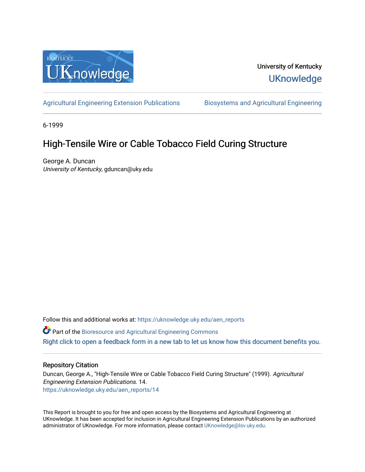

## University of Kentucky **UKnowledge**

[Agricultural Engineering Extension Publications](https://uknowledge.uky.edu/aen_reports) Biosystems and Agricultural Engineering

6-1999

# High-Tensile Wire or Cable Tobacco Field Curing Structure

George A. Duncan University of Kentucky, gduncan@uky.edu

Follow this and additional works at: [https://uknowledge.uky.edu/aen\\_reports](https://uknowledge.uky.edu/aen_reports?utm_source=uknowledge.uky.edu%2Faen_reports%2F14&utm_medium=PDF&utm_campaign=PDFCoverPages)

Part of the [Bioresource and Agricultural Engineering Commons](http://network.bepress.com/hgg/discipline/1056?utm_source=uknowledge.uky.edu%2Faen_reports%2F14&utm_medium=PDF&utm_campaign=PDFCoverPages)

[Right click to open a feedback form in a new tab to let us know how this document benefits you.](https://uky.az1.qualtrics.com/jfe/form/SV_9mq8fx2GnONRfz7)

## Repository Citation

Duncan, George A., "High-Tensile Wire or Cable Tobacco Field Curing Structure" (1999). Agricultural Engineering Extension Publications. 14. [https://uknowledge.uky.edu/aen\\_reports/14](https://uknowledge.uky.edu/aen_reports/14?utm_source=uknowledge.uky.edu%2Faen_reports%2F14&utm_medium=PDF&utm_campaign=PDFCoverPages) 

This Report is brought to you for free and open access by the Biosystems and Agricultural Engineering at UKnowledge. It has been accepted for inclusion in Agricultural Engineering Extension Publications by an authorized administrator of UKnowledge. For more information, please contact [UKnowledge@lsv.uky.edu](mailto:UKnowledge@lsv.uky.edu).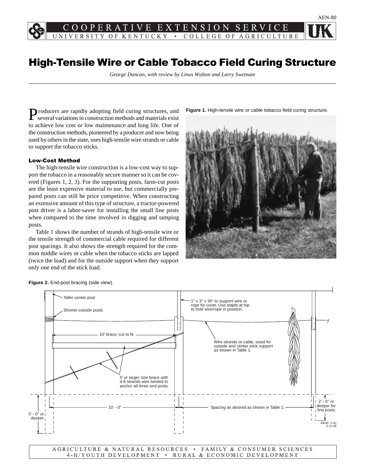PERAT EXTENSION SER V  $E$ NIVERSITY OF KENTUCKY . COLLEGE OF AGRICULTURE

## High-Tensile Wire or Cable Tobacco Field Curing Structure

*George Duncan, with review by Linus Walton and Larry Swetnam*

Producers are rapidly adopting field curing structures, and several variations in construction methods and materials exist to achieve low cost or low maintenance and long life. One of the construction methods, pioneered by a producer and now being used by others in the state, uses high-tensile wire strands or cable to support the tobacco sticks.

### Low-Cost Method

The high-tensile wire construction is a low-cost way to support the tobacco in a reasonably secure manner so it can be covered (Figures 1, 2, 3). For the supporting posts, farm-cut posts are the least expensive material to use, but commercially prepared posts can still be price competitive. When constructing an extensive amount of this type of structure, a tractor-powered post driver is a labor-saver for installing the small line posts when compared to the time involved in digging and tamping posts.

Table 1 shows the number of strands of high-tensile wire or the tensile strength of commercial cable required for different post spacings. It also shows the strength required for the common middle wires or cable when the tobacco sticks are lapped (twice the load) and for the outside support when they support only one end of the stick load.

**Figure 1.** High-tensile wire or cable tobacco field curing structure.







AGRICULTURE & NATURAL RESOURCES • FAMILY & CONSUMER SCIENCES 4-H/YOUTH DEVELOPMENT • RURAL & ECONOMIC DEVELOPMENT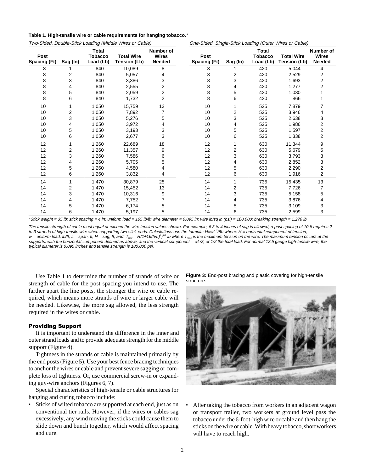| Table 1. High-tensile wire or cable requirements for hanging tobacco.* |  |
|------------------------------------------------------------------------|--|
|------------------------------------------------------------------------|--|

| Two-Sided, Double-Stick Loading (Middle Wires or Cable) |          |                                      |                                   | One-Sided, Single-Stick Loading (Outer Wires or Cable) |                      |          |                                      |                                          |                                            |
|---------------------------------------------------------|----------|--------------------------------------|-----------------------------------|--------------------------------------------------------|----------------------|----------|--------------------------------------|------------------------------------------|--------------------------------------------|
| Post<br>Spacing (Ft)                                    | Sag (In) | Total<br><b>Tobacco</b><br>Load (Lb) | <b>Total Wire</b><br>Tension (Lb) | Number of<br><b>Wires</b><br><b>Needed</b>             | Post<br>Spacing (Ft) | Sag (In) | Total<br><b>Tobacco</b><br>Load (Lb) | <b>Total Wire</b><br><b>Tension (Lb)</b> | Number of<br><b>Wires</b><br><b>Needed</b> |
| 8                                                       |          | 840                                  | 10,089                            | 8                                                      | 8                    |          | 420                                  | 5,044                                    | 4                                          |
| 8                                                       | 2        | 840                                  | 5,057                             |                                                        | 8                    | 2        | 420                                  | 2,529                                    | 2                                          |
| 8                                                       | 3        | 840                                  | 3,386                             | 3                                                      | 8                    | 3        | 420                                  | 1,693                                    | 2                                          |
| 8                                                       | 4        | 840                                  | 2,555                             | 2                                                      | 8                    | 4        | 420                                  | 1,277                                    | 2                                          |
| 8                                                       | 5        | 840                                  | 2,059                             | 2                                                      | 8                    | 5        | 420                                  | 1,030                                    |                                            |
| 8                                                       | 6        | 840                                  | 1,732                             | 2                                                      | 8                    | 6        | 420                                  | 866                                      |                                            |
| 10                                                      |          | 1,050                                | 15,759                            | 13                                                     | 10                   |          | 525                                  | 7,879                                    | 7                                          |
| 10                                                      | 2        | 1,050                                | 7,892                             |                                                        | 10                   | 2        | 525                                  | 3,946                                    | 4                                          |
| 10                                                      | 3        | 1,050                                | 5,276                             | 5                                                      | 10                   | 3        | 525                                  | 2,638                                    | 3                                          |
| 10                                                      | 4        | 1,050                                | 3,972                             |                                                        | 10                   | 4        | 525                                  | 1,986                                    | 2                                          |
| 10                                                      | 5        | 1,050                                | 3,193                             | 3                                                      | 10                   | 5        | 525                                  | 1,597                                    | 2                                          |
| 10                                                      | 6        | 1,050                                | 2,677                             | 3                                                      | 10                   | 6        | 525                                  | 1,338                                    | 2                                          |
| 12                                                      |          | 1,260                                | 22,689                            | 18                                                     | 12                   |          | 630                                  | 11,344                                   | 9                                          |
| 12                                                      | 2        | 1,260                                | 11,357                            | 9                                                      | 12                   | 2        | 630                                  | 5,679                                    | 5                                          |
| 12                                                      | 3        | 1,260                                | 7,586                             | 6                                                      | 12                   | 3        | 630                                  | 3,793                                    | 3                                          |
| 12                                                      |          | 1,260                                | 5,705                             | 5                                                      | 12                   | 4        | 630                                  | 2,852                                    | 3                                          |
| 12                                                      | 5        | 1,260                                | 4,580                             |                                                        | 12                   | 5        | 630                                  | 2,290                                    | 2                                          |
| 12                                                      | 6        | 1,260                                | 3,832                             |                                                        | 12                   | 6        | 630                                  | 1,916                                    | 2                                          |
| 14                                                      |          | 1,470                                | 30,879                            | 25                                                     | 14                   |          | 735                                  | 15,435                                   | 13                                         |
| 14                                                      | 2        | 1,470                                | 15,452                            | 13                                                     | 14                   | 2        | 735                                  | 7,726                                    | 7                                          |
| 14                                                      | 3        | 1,470                                | 10,316                            | 9                                                      | 14                   | 3        | 735                                  | 5,158                                    | 5                                          |
| 14                                                      | 4        | 1,470                                | 7,752                             |                                                        | 14                   | 4        | 735                                  | 3,876                                    |                                            |
| 14                                                      | 5        | 1,470                                | 6,174                             | 5                                                      | 14                   | 5        | 735                                  | 3,109                                    | 3                                          |
| 14                                                      | 6        | 1,470                                | 5,197                             | 5                                                      | 14                   | 6        | 735                                  | 2,599                                    | 3                                          |

\*Stick weight = 35 lb; stick spacing = 4 in; uniform load = 105 lb/ft; wire diameter = 0.095 in; wire lb/sq in (psi) = 180,000; breaking strength = 1,276 lb

The tensile strength of cable must equal or exceed the wire tension values shown. For example, if 3 to 4 inches of sag is allowed, a post spacing of 10 ft requires 2 to 3 strands of high-tensile wire when supporting two stick ends. Calculations use the formula: H=wL<sup>2</sup>/8h where: H = horizontal component of tension, w = uniform load, lb/ft; L = span, ft; H = sag, ft; and: T<sub>max</sub> = H(1+16(h/L)<sup>2</sup>)<sup>1/2</sup> lb where T<sub>max</sub> is the maximum tension on the wire. The maximum tension occurs at the supports, with the horizontal component defined as above, and the vertical component = wL/2, or 1/2 the total load. For normal 12.5 gauge high-tensile wire, the typical diameter is 0.095 inches and tensile strength is 180,000 psi.

Use Table 1 to determine the number of strands of wire or strength of cable for the post spacing you intend to use. The farther apart the line posts, the stronger the wire or cable required, which means more strands of wire or larger cable will be needed. Likewise, the more sag allowed, the less strength required in the wires or cable.

#### Providing Support

It is important to understand the difference in the inner and outer strand loads and to provide adequate strength for the middle support (Figure 4).

Tightness in the strands or cable is maintained primarily by the end posts (Figure 5). Use your best fence bracing techniques to anchor the wires or cable and prevent severe sagging or complete loss of tightness. Or, use commercial screw-in or expanding guy-wire anchors (Figures 6, 7).

Special characteristics of high-tensile or cable structures for hanging and curing tobacco include:

Sticks of wilted tobacco are supported at each end, just as on conventional tier rails. However, if the wires or cables sag excessively, any wind moving the sticks could cause them to slide down and bunch together, which would affect spacing and cure.

**Figure 3:** End-post bracing and plastic covering for high-tensile structure.



After taking the tobacco from workers in an adjacent wagon or transport trailer, two workers at ground level pass the tobacco under the 6-foot-high wire or cable and then hang the sticks on the wire or cable. With heavy tobacco, short workers will have to reach high.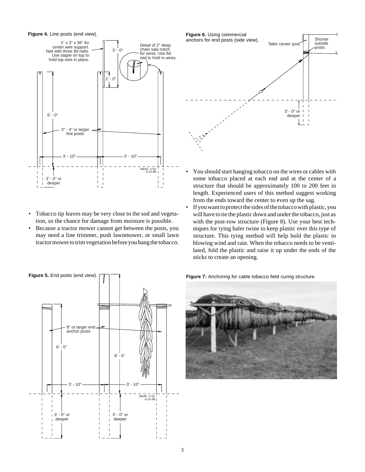**Figure 4.** Line posts (end view).



- Tobacco tip leaves may be very close to the sod and vegetation, so the chance for damage from moisture is possible.
- Because a tractor mower cannot get between the posts, you may need a line trimmer, push lawnmower, or small lawn tractor mower to trim vegetation before you hang the tobacco.



- You should start hanging tobacco on the wires or cables with some tobacco placed at each end and at the center of a structure that should be approximately 100 to 200 feet in length. Experienced users of this method suggest working from the ends toward the center to even up the sag.
- If you want to protect the sides of the tobacco with plastic, you will have to tie the plastic down and under the tobacco, just as with the post-row structure (Figure 8). Use your best techniques for tying baler twine to keep plastic over this type of structure. This tying method will help hold the plastic in blowing wind and rain. When the tobacco needs to be ventilated, fold the plastic and raise it up under the ends of the sticks to create an opening.



**Figure 7:** Anchoring for cable tobacco field curing structure.